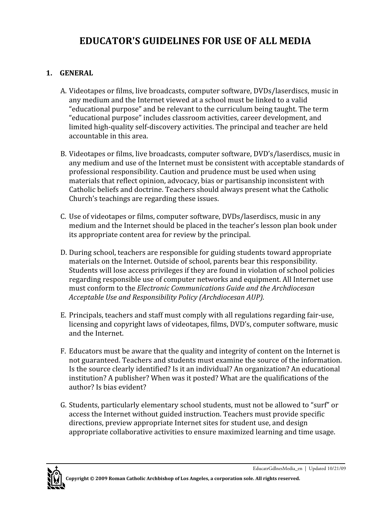# **EDUCATOR'S GUIDELINES FOR USE OF ALL MEDIA**

## **1. GENERAL**

- A. Videotapes or films, live broadcasts, computer software, DVDs/laserdiscs, music in any medium and the Internet viewed at a school must be linked to a valid "educational purpose" and be relevant to the curriculum being taught. The term "educational purpose" includes classroom activities, career development, and limited high-quality self-discovery activities. The principal and teacher are held accountable in this area.
- B. Videotapes or films, live broadcasts, computer software, DVD's/laserdiscs, music in any medium and use of the Internet must be consistent with acceptable standards of professional responsibility. Caution and prudence must be used when using materials that reflect opinion, advocacy, bias or partisanship inconsistent with Catholic beliefs and doctrine. Teachers should always present what the Catholic Church's teachings are regarding these issues.
- C. Use of videotapes or films, computer software, DVDs/laserdiscs, music in any medium and the Internet should be placed in the teacher's lesson plan book under its appropriate content area for review by the principal.
- D. During school, teachers are responsible for guiding students toward appropriate materials on the Internet. Outside of school, parents bear this responsibility. Students will lose access privileges if they are found in violation of school policies regarding responsible use of computer networks and equipment. All Internet use must conform to the *Electronic Communications Guide and the Archdiocesan Acceptable Use and Responsibility Policy (Archdiocesan AUP).*
- E. Principals, teachers and staff must comply with all regulations regarding fair‐use, licensing and copyright laws of videotapes, films, DVD's, computer software, music and the Internet.
- F. Educators must be aware that the quality and integrity of content on the Internet is not guaranteed. Teachers and students must examine the source of the information. Is the source clearly identified? Is it an individual? An organization? An educational institution? A publisher? When was it posted? What are the qualifications of the author? Is bias evident?
- G. Students, particularly elementary school students, must not be allowed to "surf" or access the Internet without guided instruction. Teachers must provide specific directions, preview appropriate Internet sites for student use, and design appropriate collaborative activities to ensure maximized learning and time usage.

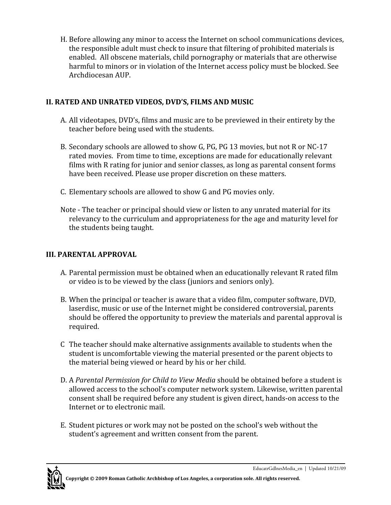H. Before allowing any minor to access the Internet on school communications devices, the responsible adult must check to insure that filtering of prohibited materials is enabled. All obscene materials, child pornography or materials that are otherwise harmful to minors or in violation of the Internet access policy must be blocked. See Archdiocesan AUP.

### **II. RATED AND UNRATED VIDEOS, DVD'S, FILMS AND MUSIC**

- A. All videotapes, DVD's, films and music are to be previewed in their entirety by the teacher before being used with the students.
- B. Secondary schools are allowed to show G, PG, PG 13 movies, but not R or NC‐17 rated movies. From time to time, exceptions are made for educationally relevant films with R rating for junior and senior classes, as long as parental consent forms have been received. Please use proper discretion on these matters.
- C. Elementary schools are allowed to show G and PG movies only.
- Note ‐ The teacher or principal should view or listen to any unrated material for its relevancy to the curriculum and appropriateness for the age and maturity level for the students being taught.

# **III. PARENTAL APPROVAL**

- A. Parental permission must be obtained when an educationally relevant R rated film or video is to be viewed by the class (juniors and seniors only).
- B. When the principal or teacher is aware that a video film, computer software, DVD, laserdisc, music or use of the Internet might be considered controversial, parents should be offered the opportunity to preview the materials and parental approval is required.
- C The teacher should make alternative assignments available to students when the student is uncomfortable viewing the material presented or the parent objects to the material being viewed or heard by his or her child.
- D. A *Parental Permission for Child to View Media* should be obtained before a student is allowed access to the school's computer network system. Likewise, written parental consent shall be required before any student is given direct, hands‐on access to the Internet or to electronic mail.
- E. Student pictures or work may not be posted on the school's web without the student's agreement and written consent from the parent.